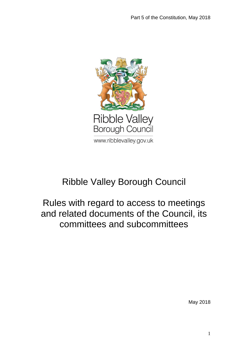

# Ribble Valley Borough Council

## Rules with regard to access to meetings and related documents of the Council, its committees and subcommittees

May 2018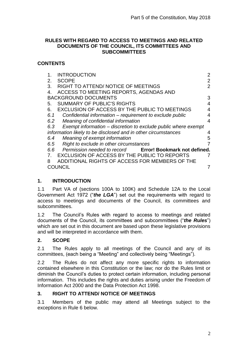#### **RULES WITH REGARD TO ACCESS TO MEETINGS AND RELATED DOCUMENTS OF THE COUNCIL, ITS COMMITTEES AND SUBCOMMITTEES**

## **CONTENTS**

| <b>INTRODUCTION</b><br>1.                                             | $\overline{2}$ |
|-----------------------------------------------------------------------|----------------|
| <b>SCOPE</b><br>$2_{-}$                                               | $\overline{2}$ |
| RIGHT TO ATTEND/ NOTICE OF MEETINGS<br>3.                             | $\overline{2}$ |
| ACCESS TO MEETING REPORTS, AGENDAS AND<br>4.                          |                |
| <b>BACKGROUND DOCUMENTS</b>                                           | 3              |
| <b>SUMMARY OF PUBLIC'S RIGHTS</b><br>5.                               | 4              |
| <b>EXCLUSION OF ACCESS BY THE PUBLIC TO MEETINGS</b><br>6.            | 4              |
| Confidential information – requirement to exclude public<br>6.1       | 4              |
| 6.2<br>Meaning of confidential information                            | 4              |
| Exempt information – discretion to exclude public where exempt<br>6.3 |                |
| information likely to be disclosed and in other circumstances         | 4              |
| Meaning of exempt information<br>6.4                                  | 5              |
| Right to exclude in other circumstances<br>6.5                        | 7              |
| 6.6<br>Permission needed to record Error! Bookmark not defined.       |                |
| EXCLUSION OF ACCESS BY THE PUBLIC TO REPORTS                          | 7              |
| ADDITIONAL RIGHTS OF ACCESS FOR MEMBERS OF THE<br>8                   |                |
| OUNCIL                                                                |                |
|                                                                       |                |

## <span id="page-1-0"></span>**1. INTRODUCTION**

1.1 Part VA of (sections 100A to 100K) and Schedule 12A to the Local Government Act 1972 ("*the LGA*") set out the requirements with regard to access to meetings and documents of the Council, its committees and subcommittees.

1.2 The Council's Rules with regard to access to meetings and related documents of the Council, its committees and subcommittees ("*the Rules*") which are set out in this document are based upon these legislative provisions and will be interpreted in accordance with them.

## <span id="page-1-1"></span>**2. SCOPE**

2.1 The Rules apply to all meetings of the Council and any of its committees, (each being a "Meeting" and collectively being "Meetings").

2.2 The Rules do not affect any more specific rights to information contained elsewhere in this Constitution or the law; nor do the Rules limit or diminish the Council's duties to protect certain information, including personal information. This includes the rights and duties arising under the Freedom of Information Act 2000 and the Data Protection Act 1998.

## <span id="page-1-2"></span>**3. RIGHT TO ATTEND/ NOTICE OF MEETINGS**

3.1 Members of the public may attend all Meetings subject to the exceptions in Rule 6 below.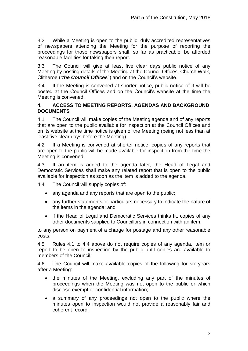3.2 While a Meeting is open to the public, duly accredited representatives of newspapers attending the Meeting for the purpose of reporting the proceedings for those newspapers shall, so far as practicable, be afforded reasonable facilities for taking their report.

3.3 The Council will give at least five clear days public notice of any Meeting by posting details of the Meeting at the Council Offices, Church Walk, Clitheroe ("*the Council Offices*") and on the Council's website.

3.4 If the Meeting is convened at shorter notice, public notice of it will be posted at the Council Offices and on the Council's website at the time the Meeting is convened.

#### <span id="page-2-0"></span>**4. ACCESS TO MEETING REPORTS, AGENDAS AND BACKGROUND DOCUMENTS**

4.1 The Council will make copies of the Meeting agenda and of any reports that are open to the public available for inspection at the Council Offices and on its website at the time notice is given of the Meeting (being not less than at least five clear days before the Meeting).

4.2 If a Meeting is convened at shorter notice, copies of any reports that are open to the public will be made available for inspection from the time the Meeting is convened.

4.3 If an item is added to the agenda later, the Head of Legal and Democratic Services shall make any related report that is open to the public available for inspection as soon as the item is added to the agenda.

4.4 The Council will supply copies of:

- any agenda and any reports that are open to the public;
- any further statements or particulars necessary to indicate the nature of the items in the agenda; and
- if the Head of Legal and Democratic Services thinks fit, copies of any other documents supplied to Councillors in connection with an item,

to any person on payment of a charge for postage and any other reasonable costs.

4.5 Rules 4.1 to 4.4 above do not require copies of any agenda, item or report to be open to inspection by the public until copies are available to members of the Council.

4.6 The Council will make available copies of the following for six years after a Meeting:

- the minutes of the Meeting, excluding any part of the minutes of proceedings when the Meeting was not open to the public or which disclose exempt or confidential information;
- a summary of any proceedings not open to the public where the minutes open to inspection would not provide a reasonably fair and coherent record;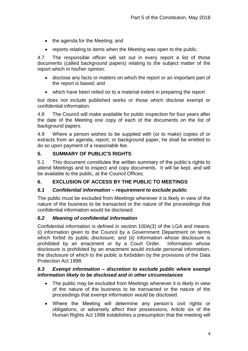- the agenda for the Meeting; and
- reports relating to items when the Meeting was open to the public.

4.7 The responsible officer will set out in every report a list of those documents (called background papers) relating to the subject matter of the report which in his/her opinion:

- disclose any facts or matters on which the report or an important part of the report is based; and
- which have been relied on to a material extent in preparing the report

but does not include published works or those which disclose exempt or confidential information.

4.8 The Council will make available for public inspection for four years after the date of the Meeting one copy of each of the documents on the list of background papers.

4.9 Where a person wishes to be supplied with (or to make) copies of or extracts from an agenda, report, or background paper, he shall be entitled to do so upon payment of a reasonable fee.

## <span id="page-3-0"></span>**5. SUMMARY OF PUBLIC'S RIGHTS**

5.1 This document constitutes the written summary of the public's rights to attend Meetings and to inspect and copy documents. It will be kept, and will be available to the public, at the Council Offices.

## <span id="page-3-1"></span>**6. EXCLUSION OF ACCESS BY THE PUBLIC TO MEETINGS**

## <span id="page-3-2"></span>*6.1 Confidential information – requirement to exclude public*

The public must be excluded from Meetings whenever it is likely in view of the nature of the business to be transacted or the nature of the proceedings that confidential information would be disclosed.

## <span id="page-3-3"></span>*6.2 Meaning of confidential information*

Confidential information is defined in section 100A(3) of the LGA and means: (i) information given to the Council by a Government Department on terms which forbid its public disclosure; and (ii) information whose disclosure is prohibited by an enactment or by a Court Order. Information whose disclosure is prohibited by an enactment would include personal information, the disclosure of which to the public is forbidden by the provisions of the Data Protection Act 1998.

#### <span id="page-3-4"></span>*6.3 Exempt information – discretion to exclude public where exempt information likely to be disclosed and in other circumstances*

- The public may be excluded from Meetings whenever it is likely in view of the nature of the business to be transacted or the nature of the proceedings that exempt information would be disclosed.
- Where the Meeting will determine any person's civil rights or obligations, or adversely affect their possessions, Article six of the Human Rights Act 1998 establishes a presumption that the meeting will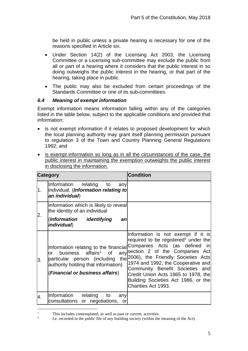be held in public unless a private hearing is necessary for one of the reasons specified in Article six.

- Under Section 14(2) of the Licensing Act 2003, the Licensing Committee or a Licensing sub-committee may exclude the public from all or part of a hearing where it considers that the public interest in so doing outweighs the public interest in the hearing, or that part of the hearing, taking place in public.
- The public may also be excluded from certain proceedings of the Standards Committee or one of its sub-committees.

## <span id="page-4-0"></span>*6.4 Meaning of exempt information*

Exempt information means information falling within any of the categories listed in the table below, subject to the applicable conditions and provided that information:

- is not exempt information if it relates to proposed development for which the local planning authority may grant itself planning permission pursuant to regulation 3 of the Town and Country Planning General Regulations 1992; and
- is exempt information so long as in all the circumstances of the case, the public interest in maintaining the exemption outweights the public interest in disclosing the information.

|    | <b>Category</b>                                                                                                                                  | <b>Condition</b>                                                                                                                                                                                                                                                                                                                                                                                                            |
|----|--------------------------------------------------------------------------------------------------------------------------------------------------|-----------------------------------------------------------------------------------------------------------------------------------------------------------------------------------------------------------------------------------------------------------------------------------------------------------------------------------------------------------------------------------------------------------------------------|
| 1. | Information relating to<br>any<br>individual. (Information relating to<br>an individual)                                                         |                                                                                                                                                                                                                                                                                                                                                                                                                             |
| 2. | Information which is likely to reveal<br>the identity of an individual                                                                           |                                                                                                                                                                                                                                                                                                                                                                                                                             |
|    | (Information identifying<br>an<br><i>individual</i> )                                                                                            |                                                                                                                                                                                                                                                                                                                                                                                                                             |
| 3. | business affairs <sup>1</sup> of<br>or<br>particular person (including<br>authority holding that information)<br>(Financial or business affairs) | Information is not exempt if it is<br>required to be registered <sup>2</sup> under the<br>Information relating to the financial Companies Acts (as defined in<br>any section 2 of the Companies Act<br>the 2006), the Friendly Societies Acts<br>1974 and 1992, the Cooperative and<br>Community Benefit Societies and<br>Credit Union Acts 1965 to 1978, the<br>Building Societies Act 1986, or the<br>Charities Act 1993. |
| 4. | Information relating<br>to<br>any<br>consultations or negotiations, or                                                                           |                                                                                                                                                                                                                                                                                                                                                                                                                             |

 $\mathbf{1}$ This includes contemplated, as well as past or current, activities.

<sup>2</sup> I.e. recorded in the public file of any building society (within the meaning of the Act).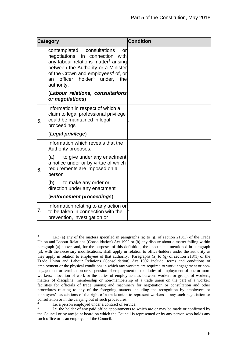| <b>Category</b> |                                                                                                                                                                                                                                                                                             | <b>Condition</b> |
|-----------------|---------------------------------------------------------------------------------------------------------------------------------------------------------------------------------------------------------------------------------------------------------------------------------------------|------------------|
|                 | contemplated<br>consultations<br>or<br>negotiations, in connection with<br>any labour relations matter <sup>3</sup> arising<br>between the Authority or a Minister<br>of the Crown and employees <sup>4</sup> of, or<br>officer<br>holder <sup>5</sup><br>under,<br>the<br>an<br>authority. |                  |
|                 | (Labour relations, consultations<br>or negotiations)                                                                                                                                                                                                                                        |                  |
| 5.              | Information in respect of which a<br>claim to legal professional privilege<br>could be maintained in legal<br>proceedings                                                                                                                                                                   |                  |
|                 | (Legal privilege)                                                                                                                                                                                                                                                                           |                  |
|                 | Information which reveals that the<br>Authority proposes:                                                                                                                                                                                                                                   |                  |
| 6.              | (a)<br>to give under any enactment<br>a notice under or by virtue of which<br>requirements are imposed on a<br>person                                                                                                                                                                       |                  |
|                 | (b)<br>to make any order or<br>direction under any enactment                                                                                                                                                                                                                                |                  |
|                 | (Enforcement proceedings)                                                                                                                                                                                                                                                                   |                  |
| 7.              | Information relating to any action or<br>to be taken in connection with the<br>prevention, investigation or                                                                                                                                                                                 |                  |

<sup>1</sup> 3 I.e.: (a) any of the matters specified in paragraphs (a) to (g) of section 218(1) of the Trade Union and Labour Relations (Consolidation) Act 1992 or (b) any dispute about a matter falling within paragraph (a) above, and, for the purposes of this definition, the enactments mentioned in paragraph (a), with the necessary modifications, shall apply in relation to office-holders under the authority as they apply in relation to employees of that authority. Paragraphs (a) to (g) of section 218(1) of the Trade Union and Labour Relations (Consolidation) Act 1992 include: terms and conditions of employment or the physical conditions in which any workers are required to work; engagement or nonengagement or termination or suspension of employment or the duties of employment of one or more workers; allocation of work or the duties of employment as between workers or groups of workers; matters of discipline; membership or non-membership of a trade union on the part of a worker; facilities for officials of trade unions; and machinery for negotiation or consultation and other procedures relating to any of the foregoing matters including the recognition by employees or employers' associations of the right of a trade union to represent workers in any such negotiation or consultation or in the carrying out of such procedures.

<sup>4</sup> I.e. a person employed under a contract of service.

<sup>5</sup> I.e. the holder of any paid office appointments to which are or may be made or confirmed by the Council or by any joint board on which the Council is represented or by any person who holds any such office or is an employee of the Council.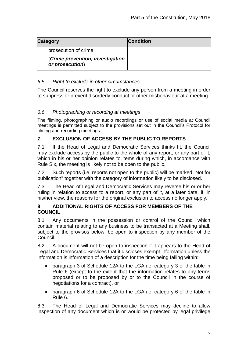| <b>Category</b> |                                                            | <b>Condition</b> |
|-----------------|------------------------------------------------------------|------------------|
|                 | prosecution of crime                                       |                  |
|                 | <b>(Crime prevention, investigation</b><br>or prosecution) |                  |

## <span id="page-6-0"></span>*6.5 Right to exclude in other circumstances*

The Council reserves the right to exclude any person from a meeting in order to suppress or prevent disorderly conduct or other misbehaviour at a meeting.

## *6.6 Photographing or recording at meetings*

The filming, photographing or audio recordings or use of social media at Council meetings is permitted subject to the provisions set out in the Council's Protocol for filming and recording meetings.

## <span id="page-6-1"></span>**7. EXCLUSION OF ACCESS BY THE PUBLIC TO REPORTS**

7.1 If the Head of Legal and Democratic Services thinks fit, the Council may exclude access by the public to the whole of any report, or any part of it, which in his or her opinion relates to items during which, in accordance with Rule Six, the meeting is likely not to be open to the public.

7.2 Such reports (i.e. reports not open to the public) will be marked "Not for publication" together with the category of information likely to be disclosed.

7.3 The Head of Legal and Democratic Services may reverse his or or her ruling in relation to access to a report, or any part of it, at a later date, if, in his/her view, the reasons for the original exclusion to access no longer apply.

#### <span id="page-6-2"></span>**8 ADDITIONAL RIGHTS OF ACCESS FOR MEMBERS OF THE COUNCIL**

8.1 Any documents in the possession or control of the Council which contain material relating to any business to be transacted at a Meeting shall, subject to the provisos below, be open to inspection by any member of the Council.

8.2 A document will not be open to inspection if it appears to the Head of Legal and Democratic Services that it discloses exempt information unless the information is information of a description for the time being falling within:

- paragraph 3 of Schedule 12A to the LGA i.e. category 3 of the table in Rule 6 (except to the extent that the information relates to any terms proposed or to be proposed by or to the Council in the course of negotiations for a contract), or
- paragraph 6 of Schedule 12A to the LGA i.e. category 6 of the table in Rule 6.

8.3 The Head of Legal and Democratic Services may decline to allow inspection of any document which is or would be protected by legal privilege